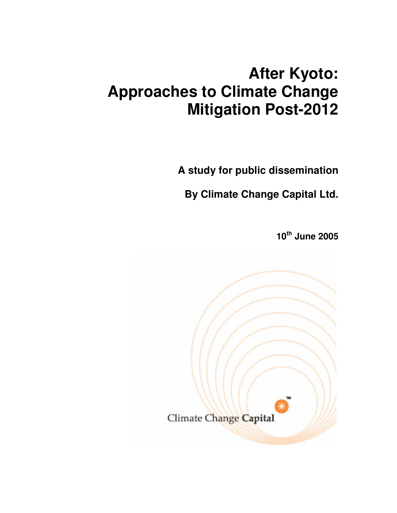# **After Kyoto: Approaches to Climate Change Mitigation Post-2012**

**A study for public dissemination**

**By Climate Change Capital Ltd.**

**10 th June 2005**

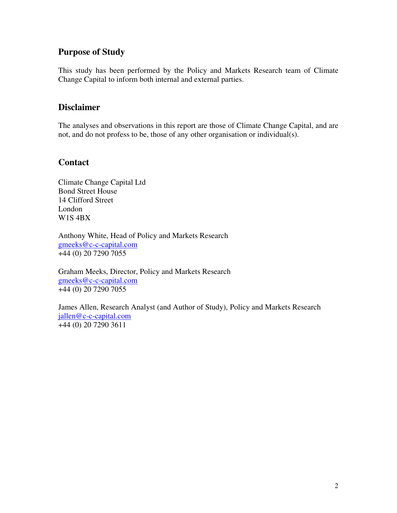## **Purpose of Study**

This study has been performed by the Policy and Markets Research team of Climate Change Capital to inform both internal and external parties.

## **Disclaimer**

The analyses and observations in this report are those of Climate Change Capital, and are not, and do not profess to be, those of any other organisation or individual(s).

## **Contact**

Climate Change Capital Ltd Bond Street House 14 Clifford Street London W1S 4BX

Anthony White, Head of Policy and Markets Research gmeeks@c-c-capital.com +44 (0) 20 7290 7055

Graham Meeks, Director, Policy and Markets Research gmeeks@c-c-capital.com +44 (0) 20 7290 7055

James Allen, Research Analyst (and Author of Study), Policy and Markets Research jallen@c-c-capital.com  $+44$  (0) 20 7290 3611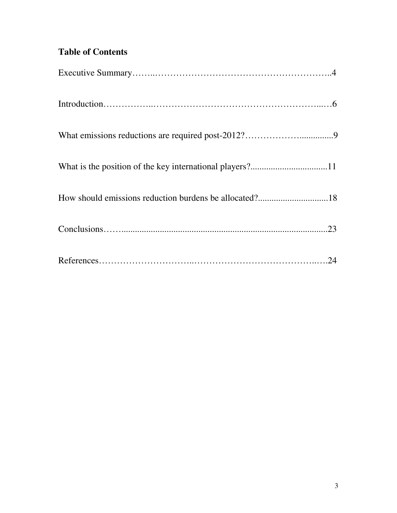## **Table of Contents**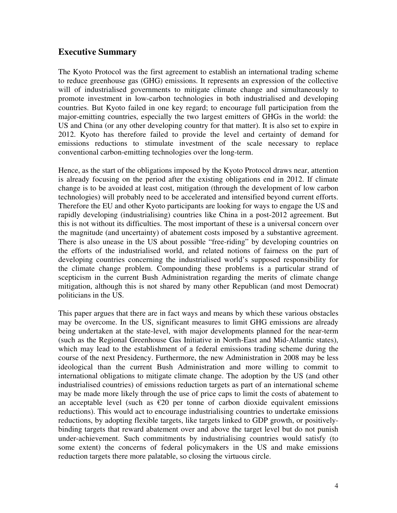## **Executive Summary**

The Kyoto Protocol was the first agreement to establish an international trading scheme to reduce greenhouse gas (GHG) emissions. It represents an expression of the collective will of industrialised governments to mitigate climate change and simultaneously to promote investment in low-carbon technologies in both industrialised and developing countries. But Kyoto failed in one key regard; to encourage full participation from the major-emitting countries, especially the two largest emitters of GHGs in the world: the US and China (or any other developing country for that matter). It is also set to expire in 2012. Kyoto has therefore failed to provide the level and certainty of demand for emissions reductions to stimulate investment of the scale necessary to replace conventional carbon-emitting technologies over the long-term.

Hence, as the start of the obligations imposed by the Kyoto Protocol draws near, attention is already focusing on the period after the existing obligations end in 2012. If climate change is to be avoided at least cost, mitigation (through the development of low carbon technologies) will probably need to be accelerated and intensified beyond current efforts. Therefore the EU and other Kyoto participants are looking for ways to engage the US and rapidly developing (industrialising) countries like China in a post-2012 agreement. But this is not without its difficulties. The most important of these is a universal concern over the magnitude (and uncertainty) of abatement costs imposed by a substantive agreement. There is also unease in the US about possible "free-riding" by developing countries on the efforts of the industrialised world, and related notions of fairness on the part of developing countries concerning the industrialised world's supposed responsibility for the climate change problem. Compounding these problems is a particular strand of scepticism in the current Bush Administration regarding the merits of climate change mitigation, although this is not shared by many other Republican (and most Democrat) politicians in the US.

This paper argues that there are in fact ways and means by which these various obstacles may be overcome. In the US, significant measures to limit GHG emissions are already being undertaken at the state-level, with major developments planned for the near-term (such as the Regional Greenhouse Gas Initiative in North-East and Mid-Atlantic states), which may lead to the establishment of a federal emissions trading scheme during the course of the next Presidency. Furthermore, the new Administration in 2008 may be less ideological than the current Bush Administration and more willing to commit to international obligations to mitigate climate change. The adoption by the US (and other industrialised countries) of emissions reduction targets as part of an international scheme may be made more likely through the use of price caps to limit the costs of abatement to an acceptable level (such as  $\epsilon$ 20 per tonne of carbon dioxide equivalent emissions reductions). This would act to encourage industrialising countries to undertake emissions reductions, by adopting flexible targets, like targets linked to GDP growth, or positivelybinding targets that reward abatement over and above the target level but do not punish under-achievement. Such commitments by industrialising countries would satisfy (to some extent) the concerns of federal policymakers in the US and make emissions reduction targets there more palatable, so closing the virtuous circle.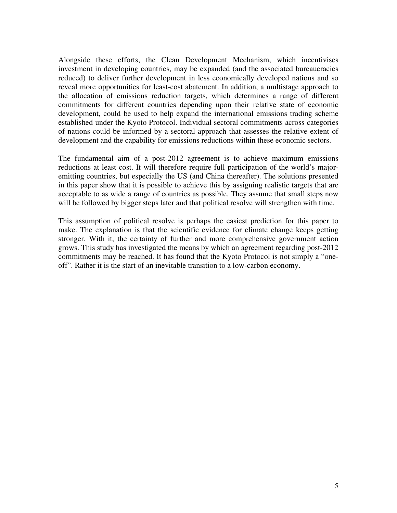Alongside these efforts, the Clean Development Mechanism, which incentivises investment in developing countries, may be expanded (and the associated bureaucracies reduced) to deliver further development in less economically developed nations and so reveal more opportunities for least-cost abatement. In addition, a multistage approach to the allocation of emissions reduction targets, which determines a range of different commitments for different countries depending upon their relative state of economic development, could be used to help expand the international emissions trading scheme established under the Kyoto Protocol. Individual sectoral commitments across categories of nations could be informed by a sectoral approach that assesses the relative extent of development and the capability for emissions reductions within these economic sectors.

The fundamental aim of a post-2012 agreement is to achieve maximum emissions reductions at least cost. It will therefore require full participation of the world's majoremitting countries, but especially the US (and China thereafter). The solutions presented in this paper show that it is possible to achieve this by assigning realistic targets that are acceptable to as wide a range of countries as possible. They assume that small steps now will be followed by bigger steps later and that political resolve will strengthen with time.

This assumption of political resolve is perhaps the easiest prediction for this paper to make. The explanation is that the scientific evidence for climate change keeps getting stronger. With it, the certainty of further and more comprehensive government action grows. This study has investigated the means by which an agreement regarding post-2012 commitments may be reached. It has found that the Kyoto Protocol is not simply a "oneoff". Rather it is the start of an inevitable transition to a low-carbon economy.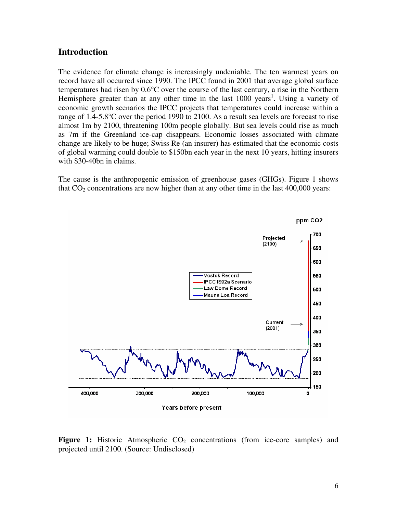#### **Introduction**

The evidence for climate change is increasingly undeniable. The ten warmest years on record have all occurred since 1990. The IPCC found in 2001 that average global surface temperatures had risen by 0.6°C over the course of the last century, a rise in the Northern Hemisphere greater than at any other time in the last 1000 years<sup>1</sup>. Using a variety of economic growth scenarios the IPCC projects that temperatures could increase within a range of 1.4-5.8°C over the period 1990 to 2100. As a result sea levels are forecast to rise almost 1m by 2100, threatening 100m people globally. But sea levels could rise as much as 7m if the Greenland ice-cap disappears. Economic losses associated with climate change are likely to be huge; Swiss Re (an insurer) has estimated that the economic costs of global warming could double to \$150bn each year in the next 10 years, hitting insurers with \$30-40bn in claims.

The cause is the anthropogenic emission of greenhouse gases (GHGs). Figure 1 shows that  $CO<sub>2</sub>$  concentrations are now higher than at any other time in the last 400,000 years:



**Figure 1:** Historic Atmospheric  $CO<sub>2</sub>$  concentrations (from ice-core samples) and projected until 2100. (Source: Undisclosed)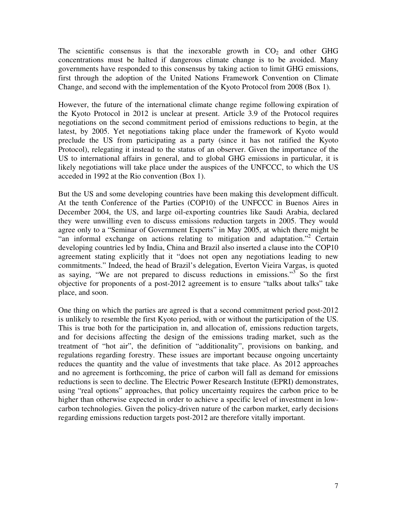The scientific consensus is that the inexorable growth in  $CO<sub>2</sub>$  and other GHG concentrations must be halted if dangerous climate change is to be avoided. Many governments have responded to this consensus by taking action to limit GHG emissions, first through the adoption of the United Nations Framework Convention on Climate Change, and second with the implementation of the Kyoto Protocol from 2008 (Box 1).

However, the future of the international climate change regime following expiration of the Kyoto Protocol in 2012 is unclear at present. Article 3.9 of the Protocol requires negotiations on the second commitment period of emissions reductions to begin, at the latest, by 2005. Yet negotiations taking place under the framework of Kyoto would preclude the US from participating as a party (since it has not ratified the Kyoto Protocol), relegating it instead to the status of an observer. Given the importance of the US to international affairs in general, and to global GHG emissions in particular, it is likely negotiations will take place under the auspices of the UNFCCC, to which the US acceded in 1992 at the Rio convention (Box 1).

But the US and some developing countries have been making this development difficult. At the tenth Conference of the Parties (COP10) of the UNFCCC in Buenos Aires in December 2004, the US, and large oil-exporting countries like Saudi Arabia, declared they were unwilling even to discuss emissions reduction targets in 2005. They would agree only to a "Seminar of Government Experts" in May 2005, at which there might be "an informal exchange on actions relating to mitigation and adaptation."<sup>2</sup> Certain developing countries led by India, China and Brazil also inserted a clause into the COP10 agreement stating explicitly that it "does not open any negotiations leading to new commitments." Indeed, the head of Brazil's delegation, Everton Vieira Vargas, is quoted as saying, "We are not prepared to discuss reductions in emissions."<sup>3</sup> So the first objective for proponents of a post-2012 agreement is to ensure "talks about talks" take place, and soon.

One thing on which the parties are agreed is that a second commitment period post-2012 is unlikely to resemble the first Kyoto period, with or without the participation of the US. This is true both for the participation in, and allocation of, emissions reduction targets, and for decisions affecting the design of the emissions trading market, such as the treatment of "hot air", the definition of "additionality", provisions on banking, and regulations regarding forestry. These issues are important because ongoing uncertainty reduces the quantity and the value of investments that take place. As 2012 approaches and no agreement is forthcoming, the price of carbon will fall as demand for emissions reductions is seen to decline. The Electric Power Research Institute (EPRI) demonstrates, using "real options" approaches, that policy uncertainty requires the carbon price to be higher than otherwise expected in order to achieve a specific level of investment in lowcarbon technologies. Given the policy-driven nature of the carbon market, early decisions regarding emissions reduction targets post-2012 are therefore vitally important.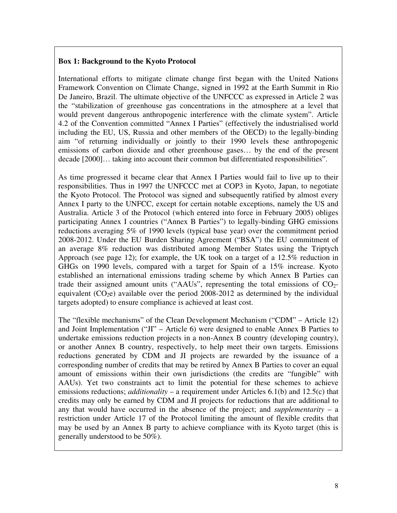#### **Box 1: Background to the Kyoto Protocol**

International efforts to mitigate climate change first began with the United Nations Framework Convention on Climate Change, signed in 1992 at the Earth Summit in Rio De Janeiro, Brazil. The ultimate objective of the UNFCCC as expressed in Article 2 was the "stabilization of greenhouse gas concentrations in the atmosphere at a level that would prevent dangerous anthropogenic interference with the climate system". Article 4.2 of the Convention committed "Annex I Parties" (effectively the industrialised world including the EU, US, Russia and other members of the OECD) to the legally-binding aim "of returning individually or jointly to their 1990 levels these anthropogenic emissions of carbon dioxide and other greenhouse gases… by the end of the present decade [2000]… taking into account their common but differentiated responsibilities".

As time progressed it became clear that Annex I Parties would fail to live up to their responsibilities. Thus in 1997 the UNFCCC met at COP3 in Kyoto, Japan, to negotiate the Kyoto Protocol. The Protocol was signed and subsequently ratified by almost every Annex I party to the UNFCC, except for certain notable exceptions, namely the US and Australia. Article 3 of the Protocol (which entered into force in February 2005) obliges participating Annex I countries ("Annex B Parties") to legally-binding GHG emissions reductions averaging 5% of 1990 levels (typical base year) over the commitment period 2008-2012. Under the EU Burden Sharing Agreement ("BSA") the EU commitment of an average 8% reduction was distributed among Member States using the Triptych Approach (see page 12); for example, the UK took on a target of a 12.5% reduction in GHGs on 1990 levels, compared with a target for Spain of a 15% increase. Kyoto established an international emissions trading scheme by which Annex B Parties can trade their assigned amount units ("AAUs", representing the total emissions of  $CO<sub>2</sub>$ equivalent  $(CO<sub>2</sub>e)$  available over the period 2008-2012 as determined by the individual targets adopted) to ensure compliance is achieved at least cost.

The "flexible mechanisms" of the Clean Development Mechanism ("CDM" – Article 12) and Joint Implementation ("JI" – Article 6) were designed to enable Annex B Parties to undertake emissions reduction projects in a non-Annex B country (developing country), or another Annex B country, respectively, to help meet their own targets. Emissions reductions generated by CDM and JI projects are rewarded by the issuance of a corresponding number of credits that may be retired by Annex B Parties to cover an equal amount of emissions within their own jurisdictions (the credits are "fungible" with AAUs). Yet two constraints act to limit the potential for these schemes to achieve emissions reductions; *additionality* – a requirement under Articles 6.1(b) and 12.5(c) that credits may only be earned by CDM and JI projects for reductions that are additional to any that would have occurred in the absence of the project; and *supplementarity* – a restriction under Article 17 of the Protocol limiting the amount of flexible credits that may be used by an Annex B party to achieve compliance with its Kyoto target (this is generally understood to be 50%).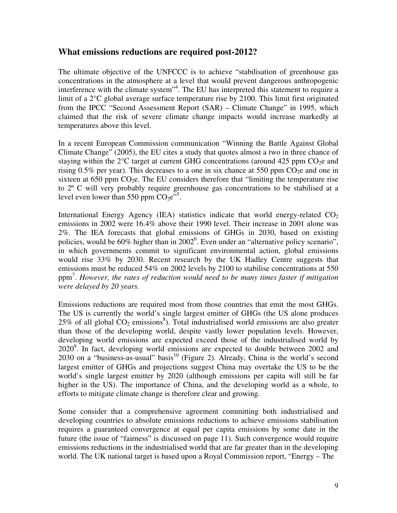#### **What emissions reductions are required post-2012?**

The ultimate objective of the UNFCCC is to achieve "stabilisation of greenhouse gas concentrations in the atmosphere at a level that would prevent dangerous anthropogenic interference with the climate system" 4 . The EU has interpreted this statement to require a limit of a 2°C global average surface temperature rise by 2100. This limit first originated from the IPCC "Second Assessment Report (SAR) – Climate Change" in 1995, which claimed that the risk of severe climate change impacts would increase markedly at temperatures above this level.

In a recent European Commission communication "Winning the Battle Against Global Climate Change" (2005), the EU cites a study that quotes almost a two in three chance of staying within the  $2^{\circ}C$  target at current GHG concentrations (around 425 ppm CO<sub>2</sub>e and rising 0.5% per year). This decreases to a one in six chance at 550 ppm  $CO<sub>2</sub>e$  and one in sixteen at 650 ppm  $CO<sub>2</sub>e$ . The EU considers therefore that "limiting the temperature rise to 2º C will very probably require greenhouse gas concentrations to be stabilised at a level even lower than 550 ppm  $CO_2e^{5.5}$ .

International Energy Agency (IEA) statistics indicate that world energy-related  $CO<sub>2</sub>$ emissions in 2002 were 16.4% above their 1990 level. Their increase in 2001 alone was 2%. The IEA forecasts that global emissions of GHGs in 2030, based on existing policies, would be 60% higher than in 2002<sup>6</sup>. Even under an "alternative policy scenario", in which governments commit to significant environmental action, global emissions would rise 33% by 2030. Recent research by the UK Hadley Centre suggests that emissions must be reduced 54% on 2002 levels by 2100 to stabilise concentrations at 550 ppm 7 . *However, the rates of reduction would need to be many times faster if mitigation were delayed by 20 years.*

Emissions reductions are required most from those countries that emit the most GHGs. The US is currently the world's single largest emitter of GHGs (the US alone produces  $25\%$  of all global  $CO<sub>2</sub>$  emissions<sup>8</sup>). Total industrialised world emissions are also greater than those of the developing world, despite vastly lower population levels. However, developing world emissions are expected exceed those of the industrialised world by 2020<sup>9</sup>. In fact, developing world emissions are expected to double between 2002 and 2030 on a "business-as-usual" basis<sup>10</sup> (Figure 2). Already, China is the world's second largest emitter of GHGs and projections suggest China may overtake the US to be the world's single largest emitter by 2020 (although emissions per capita will still be far higher in the US). The importance of China, and the developing world as a whole, to efforts to mitigate climate change is therefore clear and growing.

Some consider that a comprehensive agreement committing both industrialised and developing countries to absolute emissions reductions to achieve emissions stabilisation requires a guaranteed convergence at equal per capita emissions by some date in the future (the issue of "fairness" is discussed on page 11). Such convergence would require emissions reductions in the industrialised world that are far greater than in the developing world. The UK national target is based upon a Royal Commission report, "Energy – The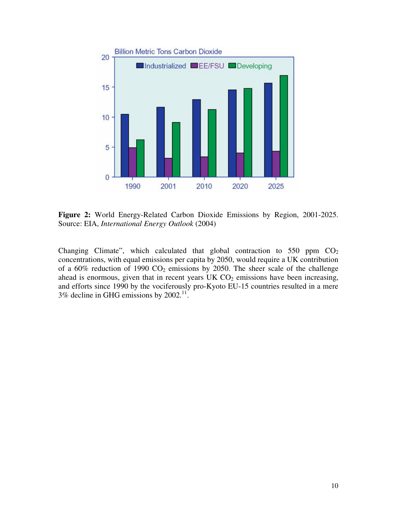

**Figure 2:** World Energy-Related Carbon Dioxide Emissions by Region, 2001-2025. Source: EIA, *International Energy Outlook* (2004)

Changing Climate", which calculated that global contraction to 550 ppm  $CO<sub>2</sub>$ concentrations, with equal emissions per capita by 2050, would require a UK contribution of a 60% reduction of 1990  $CO<sub>2</sub>$  emissions by 2050. The sheer scale of the challenge ahead is enormous, given that in recent years  $UK CO<sub>2</sub>$  emissions have been increasing, and efforts since 1990 by the vociferously pro-Kyoto EU-15 countries resulted in a mere  $3\%$  decline in GHG emissions by  $2002$ .<sup>11</sup>.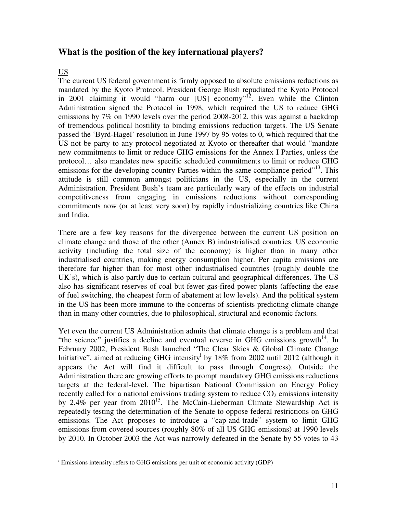### **What is the position of the key international players?**

#### US

The current US federal government is firmly opposed to absolute emissions reductions as mandated by the Kyoto Protocol. President George Bush repudiated the Kyoto Protocol in 2001 claiming it would "harm our [US] economy"<sup>12</sup>. Even while the Clinton Administration signed the Protocol in 1998, which required the US to reduce GHG emissions by 7% on 1990 levels over the period 2008-2012, this was against a backdrop of tremendous political hostility to binding emissions reduction targets. The US Senate passed the 'Byrd-Hagel' resolution in June 1997 by 95 votes to 0, which required that the US not be party to any protocol negotiated at Kyoto or thereafter that would "mandate new commitments to limit or reduce GHG emissions for the Annex I Parties, unless the protocol… also mandates new specific scheduled commitments to limit or reduce GHG emissions for the developing country Parties within the same compliance period"<sup>13</sup>. This attitude is still common amongst politicians in the US, especially in the current Administration. President Bush's team are particularly wary of the effects on industrial competitiveness from engaging in emissions reductions without corresponding commitments now (or at least very soon) by rapidly industrializing countries like China and India.

There are a few key reasons for the divergence between the current US position on climate change and those of the other (Annex B) industrialised countries. US economic activity (including the total size of the economy) is higher than in many other industrialised countries, making energy consumption higher. Per capita emissions are therefore far higher than for most other industrialised countries (roughly double the UK's), which is also partly due to certain cultural and geographical differences. The US also has significant reserves of coal but fewer gas-fired power plants (affecting the ease of fuel switching, the cheapest form of abatement at low levels). And the political system in the US has been more immune to the concerns of scientists predicting climate change than in many other countries, due to philosophical, structural and economic factors.

Yet even the current US Administration admits that climate change is a problem and that "the science" justifies a decline and eventual reverse in GHG emissions growth<sup>14</sup>. In February 2002, President Bush launched "The Clear Skies & Global Climate Change Initiative", aimed at reducing GHG intensity<sup>i</sup> by 18% from 2002 until 2012 (although it appears the Act will find it difficult to pass through Congress). Outside the Administration there are growing efforts to prompt mandatory GHG emissions reductions targets at the federal-level. The bipartisan National Commission on Energy Policy recently called for a national emissions trading system to reduce  $CO<sub>2</sub>$  emissions intensity by 2.4% per year from 2010<sup>15</sup>. The McCain-Lieberman Climate Stewardship Act is repeatedly testing the determination of the Senate to oppose federal restrictions on GHG emissions. The Act proposes to introduce a "cap-and-trade" system to limit GHG emissions from covered sources (roughly 80% of all US GHG emissions) at 1990 levels by 2010. In October 2003 the Act was narrowly defeated in the Senate by 55 votes to 43

<sup>&</sup>lt;sup>i</sup> Emissions intensity refers to GHG emissions per unit of economic activity (GDP)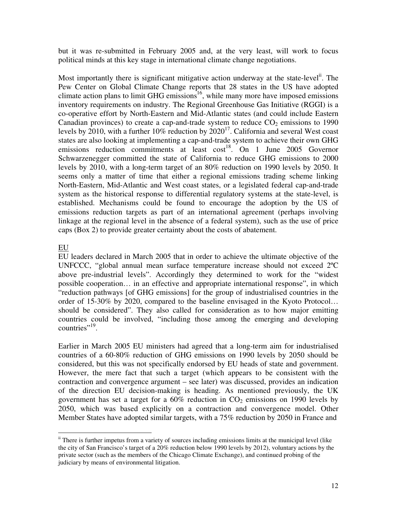but it was re-submitted in February 2005 and, at the very least, will work to focus political minds at this key stage in international climate change negotiations.

Most importantly there is significant mitigative action underway at the state-level<sup>ii</sup>. The Pew Center on Global Climate Change reports that 28 states in the US have adopted climate action plans to limit GHG emissions<sup>16</sup>, while many more have imposed emissions inventory requirements on industry. The Regional Greenhouse Gas Initiative (RGGI) is a co-operative effort by North-Eastern and Mid-Atlantic states (and could include Eastern Canadian provinces) to create a cap-and-trade system to reduce  $CO<sub>2</sub>$  emissions to 1990 levels by 2010, with a further 10% reduction by  $2020^{17}$ . California and several West coast states are also looking at implementing a cap-and-trade system to achieve their own GHG emissions reduction commitments at least cost<sup>18</sup>. On 1 June 2005 Governor Schwarzenegger committed the state of California to reduce GHG emissions to 2000 levels by 2010, with a long-term target of an 80% reduction on 1990 levels by 2050. It seems only a matter of time that either a regional emissions trading scheme linking North-Eastern, Mid-Atlantic and West coast states, or a legislated federal cap-and-trade system as the historical response to differential regulatory systems at the state-level, is established. Mechanisms could be found to encourage the adoption by the US of emissions reduction targets as part of an international agreement (perhaps involving linkage at the regional level in the absence of a federal system), such as the use of price caps (Box 2) to provide greater certainty about the costs of abatement.

#### EU

EU leaders declared in March 2005 that in order to achieve the ultimate objective of the UNFCCC, "global annual mean surface temperature increase should not exceed 2ºC above pre-industrial levels". Accordingly they determined to work for the "widest possible cooperation… in an effective and appropriate international response", in which "reduction pathways [of GHG emissions] for the group of industrialised countries in the order of 15-30% by 2020, compared to the baseline envisaged in the Kyoto Protocol… should be considered". They also called for consideration as to how major emitting countries could be involved, "including those among the emerging and developing countries"<sup>19</sup>.

Earlier in March 2005 EU ministers had agreed that a long-term aim for industrialised countries of a 60-80% reduction of GHG emissions on 1990 levels by 2050 should be considered, but this was not specifically endorsed by EU heads of state and government. However, the mere fact that such a target (which appears to be consistent with the contraction and convergence argument – see later) was discussed, provides an indication of the direction EU decision-making is heading. As mentioned previously, the UK government has set a target for a  $60\%$  reduction in  $CO<sub>2</sub>$  emissions on 1990 levels by 2050, which was based explicitly on a contraction and convergence model. Other Member States have adopted similar targets, with a 75% reduction by 2050 in France and

<sup>&</sup>lt;sup>ii</sup> There is further impetus from a variety of sources including emissions limits at the municipal level (like the city of San Francisco's target of a 20% reduction below 1990 levels by 2012), voluntary actions by the private sector (such as the members of the Chicago Climate Exchange), and continued probing of the judiciary by means of environmental litigation.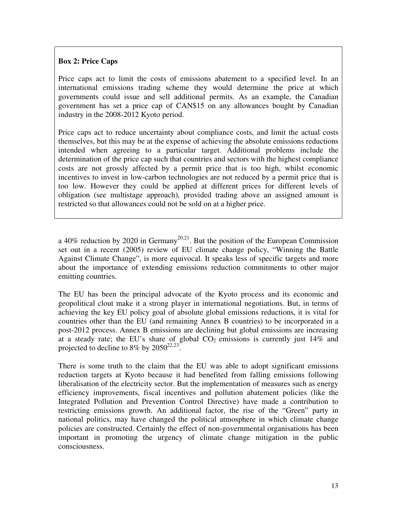#### **Box 2: Price Caps**

Price caps act to limit the costs of emissions abatement to a specified level. In an international emissions trading scheme they would determine the price at which governments could issue and sell additional permits. As an example, the Canadian government has set a price cap of CAN\$15 on any allowances bought by Canadian industry in the 2008-2012 Kyoto period.

Price caps act to reduce uncertainty about compliance costs, and limit the actual costs themselves, but this may be at the expense of achieving the absolute emissions reductions intended when agreeing to a particular target. Additional problems include the determination of the price cap such that countries and sectors with the highest compliance costs are not grossly affected by a permit price that is too high, whilst economic incentives to invest in low-carbon technologies are not reduced by a permit price that is too low. However they could be applied at different prices for different levels of obligation (see multistage approach), provided trading above an assigned amount is restricted so that allowances could not be sold on at a higher price.

a 40% reduction by 2020 in Germany<sup>20,21</sup>. But the position of the European Commission set out in a recent (2005) review of EU climate change policy, "Winning the Battle Against Climate Change", is more equivocal. It speaks less of specific targets and more about the importance of extending emissions reduction commitments to other major emitting countries.

The EU has been the principal advocate of the Kyoto process and its economic and geopolitical clout make it a strong player in international negotiations. But, in terms of achieving the key EU policy goal of absolute global emissions reductions, it is vital for countries other than the EU (and remaining Annex B countries) to be incorporated in a post-2012 process. Annex B emissions are declining but global emissions are increasing at a steady rate; the EU's share of global  $CO<sub>2</sub>$  emissions is currently just 14% and projected to decline to 8% by  $2050^{22,23}$ .

There is some truth to the claim that the EU was able to adopt significant emissions reduction targets at Kyoto because it had benefited from falling emissions following liberalisation of the electricity sector. But the implementation of measures such as energy efficiency improvements, fiscal incentives and pollution abatement policies (like the Integrated Pollution and Prevention Control Directive) have made a contribution to restricting emissions growth. An additional factor, the rise of the "Green" party in national politics, may have changed the political atmosphere in which climate change policies are constructed. Certainly the effect of non-governmental organisations has been important in promoting the urgency of climate change mitigation in the public consciousness.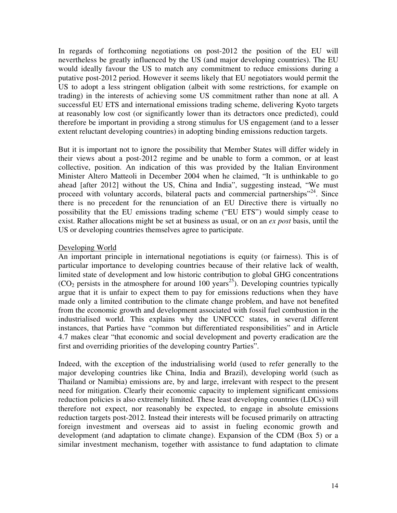In regards of forthcoming negotiations on post-2012 the position of the EU will nevertheless be greatly influenced by the US (and major developing countries). The EU would ideally favour the US to match any commitment to reduce emissions during a putative post-2012 period. However it seems likely that EU negotiators would permit the US to adopt a less stringent obligation (albeit with some restrictions, for example on trading) in the interests of achieving some US commitment rather than none at all. A successful EU ETS and international emissions trading scheme, delivering Kyoto targets at reasonably low cost (or significantly lower than its detractors once predicted), could therefore be important in providing a strong stimulus for US engagement (and to a lesser extent reluctant developing countries) in adopting binding emissions reduction targets.

But it is important not to ignore the possibility that Member States will differ widely in their views about a post-2012 regime and be unable to form a common, or at least collective, position. An indication of this was provided by the Italian Environment Minister Altero Matteoli in December 2004 when he claimed, "It is unthinkable to go ahead [after 2012] without the US, China and India", suggesting instead, "We must proceed with voluntary accords, bilateral pacts and commercial partnerships"<sup>24</sup>. Since there is no precedent for the renunciation of an EU Directive there is virtually no possibility that the EU emissions trading scheme ("EU ETS") would simply cease to exist. Rather allocations might be set at business as usual, or on an *ex post* basis, until the US or developing countries themselves agree to participate.

#### Developing World

An important principle in international negotiations is equity (or fairness). This is of particular importance to developing countries because of their relative lack of wealth, limited state of development and low historic contribution to global GHG concentrations  $(CO<sub>2</sub>$  persists in the atmosphere for around 100 years<sup>25</sup>). Developing countries typically argue that it is unfair to expect them to pay for emissions reductions when they have made only a limited contribution to the climate change problem, and have not benefited from the economic growth and development associated with fossil fuel combustion in the industrialised world. This explains why the UNFCCC states, in several different instances, that Parties have "common but differentiated responsibilities" and in Article 4.7 makes clear "that economic and social development and poverty eradication are the first and overriding priorities of the developing country Parties".

Indeed, with the exception of the industrialising world (used to refer generally to the major developing countries like China, India and Brazil), developing world (such as Thailand or Namibia) emissions are, by and large, irrelevant with respect to the present need for mitigation. Clearly their economic capacity to implement significant emissions reduction policies is also extremely limited. These least developing countries (LDCs) will therefore not expect, nor reasonably be expected, to engage in absolute emissions reduction targets post-2012. Instead their interests will be focused primarily on attracting foreign investment and overseas aid to assist in fueling economic growth and development (and adaptation to climate change). Expansion of the CDM (Box 5) or a similar investment mechanism, together with assistance to fund adaptation to climate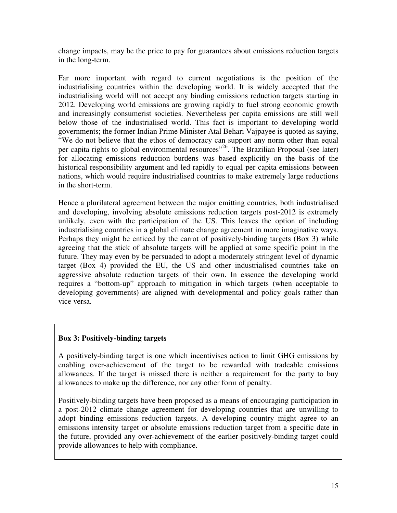change impacts, may be the price to pay for guarantees about emissions reduction targets in the long-term.

Far more important with regard to current negotiations is the position of the industrialising countries within the developing world. It is widely accepted that the industrialising world will not accept any binding emissions reduction targets starting in 2012. Developing world emissions are growing rapidly to fuel strong economic growth and increasingly consumerist societies. Nevertheless per capita emissions are still well below those of the industrialised world. This fact is important to developing world governments; the former Indian Prime Minister Atal Behari Vajpayee is quoted as saying, "We do not believe that the ethos of democracy can support any norm other than equal per capita rights to global environmental resources"<sup>26</sup>. The Brazilian Proposal (see later) for allocating emissions reduction burdens was based explicitly on the basis of the historical responsibility argument and led rapidly to equal per capita emissions between nations, which would require industrialised countries to make extremely large reductions in the short-term.

Hence a plurilateral agreement between the major emitting countries, both industrialised and developing, involving absolute emissions reduction targets post-2012 is extremely unlikely, even with the participation of the US. This leaves the option of including industrialising countries in a global climate change agreement in more imaginative ways. Perhaps they might be enticed by the carrot of positively-binding targets (Box 3) while agreeing that the stick of absolute targets will be applied at some specific point in the future. They may even by be persuaded to adopt a moderately stringent level of dynamic target (Box 4) provided the EU, the US and other industrialised countries take on aggressive absolute reduction targets of their own. In essence the developing world requires a "bottom-up" approach to mitigation in which targets (when acceptable to developing governments) are aligned with developmental and policy goals rather than vice versa.

#### **Box 3: Positively-binding targets**

A positively-binding target is one which incentivises action to limit GHG emissions by enabling over-achievement of the target to be rewarded with tradeable emissions allowances. If the target is missed there is neither a requirement for the party to buy allowances to make up the difference, nor any other form of penalty.

Positively-binding targets have been proposed as a means of encouraging participation in a post-2012 climate change agreement for developing countries that are unwilling to adopt binding emissions reduction targets. A developing country might agree to an emissions intensity target or absolute emissions reduction target from a specific date in the future, provided any over-achievement of the earlier positively-binding target could provide allowances to help with compliance.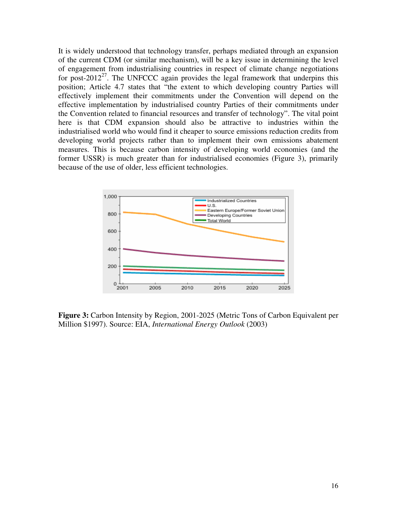It is widely understood that technology transfer, perhaps mediated through an expansion of the current CDM (or similar mechanism), will be a key issue in determining the level of engagement from industrialising countries in respect of climate change negotiations for post-2012<sup>27</sup>. The UNFCCC again provides the legal framework that underpins this position; Article 4.7 states that "the extent to which developing country Parties will effectively implement their commitments under the Convention will depend on the effective implementation by industrialised country Parties of their commitments under the Convention related to financial resources and transfer of technology". The vital point here is that CDM expansion should also be attractive to industries within the industrialised world who would find it cheaper to source emissions reduction credits from developing world projects rather than to implement their own emissions abatement measures. This is because carbon intensity of developing world economies (and the former USSR) is much greater than for industrialised economies (Figure 3), primarily because of the use of older, less efficient technologies.



**Figure 3:** Carbon Intensity by Region, 2001-2025 (Metric Tons of Carbon Equivalent per Million \$1997). Source: EIA, *International Energy Outlook* (2003)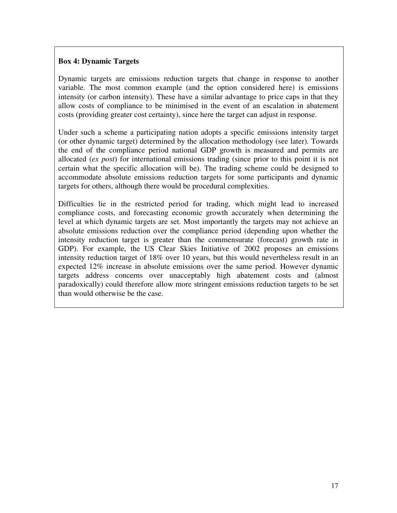#### **Box 4: Dynamic Targets**

Dynamic targets are emissions reduction targets that change in response to another variable. The most common example (and the option considered here) is emissions intensity (or carbon intensity). These have a similar advantage to price caps in that they allow costs of compliance to be minimised in the event of an escalation in abatement costs (providing greater cost certainty), since here the target can adjust in response.

Under such a scheme a participating nation adopts a specific emissions intensity target (or other dynamic target) determined by the allocation methodology (see later). Towards the end of the compliance period national GDP growth is measured and permits are allocated (*ex post*) for international emissions trading (since prior to this point it is not certain what the specific allocation will be). The trading scheme could be designed to accommodate absolute emissions reduction targets for some participants and dynamic targets for others, although there would be procedural complexities.

Difficulties lie in the restricted period for trading, which might lead to increased compliance costs, and forecasting economic growth accurately when determining the level at which dynamic targets are set. Most importantly the targets may not achieve an absolute emissions reduction over the compliance period (depending upon whether the intensity reduction target is greater than the commensurate (forecast) growth rate in GDP). For example, the US Clear Skies Initiative of 2002 proposes an emissions intensity reduction target of 18% over 10 years, but this would nevertheless result in an expected 12% increase in absolute emissions over the same period. However dynamic targets address concerns over unacceptably high abatement costs and (almost paradoxically) could therefore allow more stringent emissions reduction targets to be set than would otherwise be the case.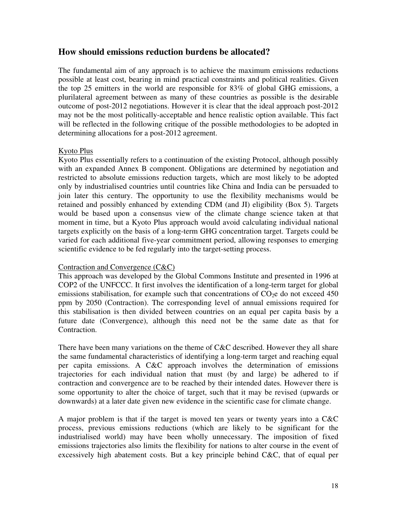#### **How should emissions reduction burdens be allocated?**

The fundamental aim of any approach is to achieve the maximum emissions reductions possible at least cost, bearing in mind practical constraints and political realities. Given the top 25 emitters in the world are responsible for 83% of global GHG emissions, a plurilateral agreement between as many of these countries as possible is the desirable outcome of post-2012 negotiations. However it is clear that the ideal approach post-2012 may not be the most politically-acceptable and hence realistic option available. This fact will be reflected in the following critique of the possible methodologies to be adopted in determining allocations for a post-2012 agreement.

#### Kyoto Plus

Kyoto Plus essentially refers to a continuation of the existing Protocol, although possibly with an expanded Annex B component. Obligations are determined by negotiation and restricted to absolute emissions reduction targets, which are most likely to be adopted only by industrialised countries until countries like China and India can be persuaded to join later this century. The opportunity to use the flexibility mechanisms would be retained and possibly enhanced by extending CDM (and JI) eligibility (Box 5). Targets would be based upon a consensus view of the climate change science taken at that moment in time, but a Kyoto Plus approach would avoid calculating individual national targets explicitly on the basis of a long-term GHG concentration target. Targets could be varied for each additional five-year commitment period, allowing responses to emerging scientific evidence to be fed regularly into the target-setting process.

#### Contraction and Convergence (C&C)

This approach was developed by the Global Commons Institute and presented in 1996 at COP2 of the UNFCCC. It first involves the identification of a long-term target for global emissions stabilisation, for example such that concentrations of  $CO<sub>2</sub>e$  do not exceed 450 ppm by 2050 (Contraction). The corresponding level of annual emissions required for this stabilisation is then divided between countries on an equal per capita basis by a future date (Convergence), although this need not be the same date as that for Contraction.

There have been many variations on the theme of C&C described. However they all share the same fundamental characteristics of identifying a long-term target and reaching equal per capita emissions. A C&C approach involves the determination of emissions trajectories for each individual nation that must (by and large) be adhered to if contraction and convergence are to be reached by their intended dates. However there is some opportunity to alter the choice of target, such that it may be revised (upwards or downwards) at a later date given new evidence in the scientific case for climate change.

A major problem is that if the target is moved ten years or twenty years into a C&C process, previous emissions reductions (which are likely to be significant for the industrialised world) may have been wholly unnecessary. The imposition of fixed emissions trajectories also limits the flexibility for nations to alter course in the event of excessively high abatement costs. But a key principle behind C&C, that of equal per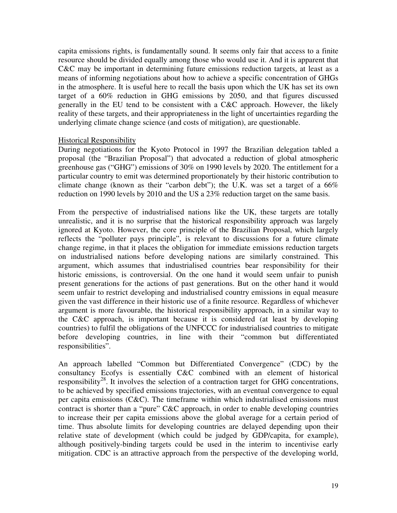capita emissions rights, is fundamentally sound. It seems only fair that access to a finite resource should be divided equally among those who would use it. And it is apparent that C&C may be important in determining future emissions reduction targets, at least as a means of informing negotiations about how to achieve a specific concentration of GHGs in the atmosphere. It is useful here to recall the basis upon which the UK has set its own target of a 60% reduction in GHG emissions by 2050, and that figures discussed generally in the EU tend to be consistent with a C&C approach. However, the likely reality of these targets, and their appropriateness in the light of uncertainties regarding the underlying climate change science (and costs of mitigation), are questionable.

#### Historical Responsibility

During negotiations for the Kyoto Protocol in 1997 the Brazilian delegation tabled a proposal (the "Brazilian Proposal") that advocated a reduction of global atmospheric greenhouse gas ("GHG") emissions of 30% on 1990 levels by 2020. The entitlement for a particular country to emit was determined proportionately by their historic contribution to climate change (known as their "carbon debt"); the U.K. was set a target of a 66% reduction on 1990 levels by 2010 and the US a 23% reduction target on the same basis.

From the perspective of industrialised nations like the UK, these targets are totally unrealistic, and it is no surprise that the historical responsibility approach was largely ignored at Kyoto. However, the core principle of the Brazilian Proposal, which largely reflects the "polluter pays principle", is relevant to discussions for a future climate change regime, in that it places the obligation for immediate emissions reduction targets on industrialised nations before developing nations are similarly constrained. This argument, which assumes that industrialised countries bear responsibility for their historic emissions, is controversial. On the one hand it would seem unfair to punish present generations for the actions of past generations. But on the other hand it would seem unfair to restrict developing and industrialised country emissions in equal measure given the vast difference in their historic use of a finite resource. Regardless of whichever argument is more favourable, the historical responsibility approach, in a similar way to the C&C approach, is important because it is considered (at least by developing countries) to fulfil the obligations of the UNFCCC for industrialised countries to mitigate before developing countries, in line with their "common but differentiated responsibilities".

An approach labelled "Common but Differentiated Convergence" (CDC) by the consultancy Ecofys is essentially C&C combined with an element of historical responsibility<sup>28</sup>. It involves the selection of a contraction target for GHG concentrations, to be achieved by specified emissions trajectories, with an eventual convergence to equal per capita emissions (C&C). The timeframe within which industrialised emissions must contract is shorter than a "pure" C&C approach, in order to enable developing countries to increase their per capita emissions above the global average for a certain period of time. Thus absolute limits for developing countries are delayed depending upon their relative state of development (which could be judged by GDP/capita, for example), although positively-binding targets could be used in the interim to incentivise early mitigation. CDC is an attractive approach from the perspective of the developing world,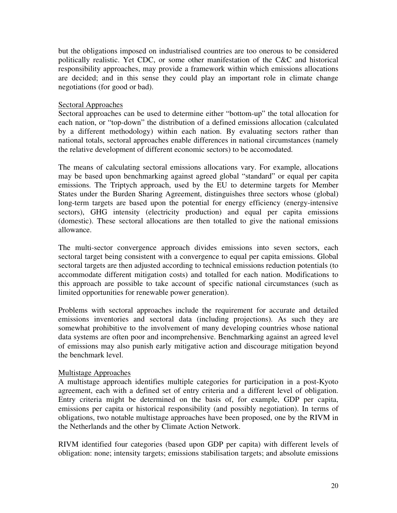but the obligations imposed on industrialised countries are too onerous to be considered politically realistic. Yet CDC, or some other manifestation of the C&C and historical responsibility approaches, may provide a framework within which emissions allocations are decided; and in this sense they could play an important role in climate change negotiations (for good or bad).

#### Sectoral Approaches

Sectoral approaches can be used to determine either "bottom-up" the total allocation for each nation, or "top-down" the distribution of a defined emissions allocation (calculated by a different methodology) within each nation. By evaluating sectors rather than national totals, sectoral approaches enable differences in national circumstances (namely the relative development of different economic sectors) to be accomodated.

The means of calculating sectoral emissions allocations vary. For example, allocations may be based upon benchmarking against agreed global "standard" or equal per capita emissions. The Triptych approach, used by the EU to determine targets for Member States under the Burden Sharing Agreement, distinguishes three sectors whose (global) long-term targets are based upon the potential for energy efficiency (energy-intensive sectors), GHG intensity (electricity production) and equal per capita emissions (domestic). These sectoral allocations are then totalled to give the national emissions allowance.

The multi-sector convergence approach divides emissions into seven sectors, each sectoral target being consistent with a convergence to equal per capita emissions. Global sectoral targets are then adjusted according to technical emissions reduction potentials (to accommodate different mitigation costs) and totalled for each nation. Modifications to this approach are possible to take account of specific national circumstances (such as limited opportunities for renewable power generation).

Problems with sectoral approaches include the requirement for accurate and detailed emissions inventories and sectoral data (including projections). As such they are somewhat prohibitive to the involvement of many developing countries whose national data systems are often poor and incomprehensive. Benchmarking against an agreed level of emissions may also punish early mitigative action and discourage mitigation beyond the benchmark level.

#### Multistage Approaches

A multistage approach identifies multiple categories for participation in a post-Kyoto agreement, each with a defined set of entry criteria and a different level of obligation. Entry criteria might be determined on the basis of, for example, GDP per capita, emissions per capita or historical responsibility (and possibly negotiation). In terms of obligations, two notable multistage approaches have been proposed, one by the RIVM in the Netherlands and the other by Climate Action Network.

RIVM identified four categories (based upon GDP per capita) with different levels of obligation: none; intensity targets; emissions stabilisation targets; and absolute emissions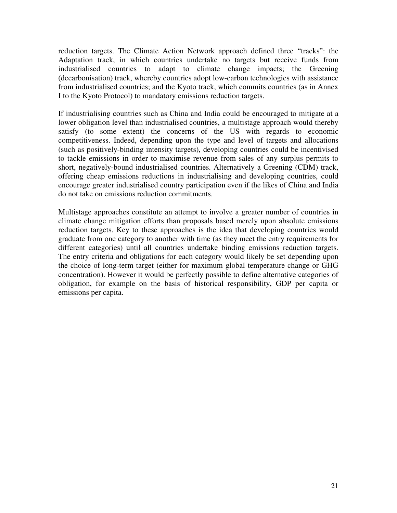reduction targets. The Climate Action Network approach defined three "tracks": the Adaptation track, in which countries undertake no targets but receive funds from industrialised countries to adapt to climate change impacts; the Greening (decarbonisation) track, whereby countries adopt low-carbon technologies with assistance from industrialised countries; and the Kyoto track, which commits countries (as in Annex I to the Kyoto Protocol) to mandatory emissions reduction targets.

If industrialising countries such as China and India could be encouraged to mitigate at a lower obligation level than industrialised countries, a multistage approach would thereby satisfy (to some extent) the concerns of the US with regards to economic competitiveness. Indeed, depending upon the type and level of targets and allocations (such as positively-binding intensity targets), developing countries could be incentivised to tackle emissions in order to maximise revenue from sales of any surplus permits to short, negatively-bound industrialised countries. Alternatively a Greening (CDM) track, offering cheap emissions reductions in industrialising and developing countries, could encourage greater industrialised country participation even if the likes of China and India do not take on emissions reduction commitments.

Multistage approaches constitute an attempt to involve a greater number of countries in climate change mitigation efforts than proposals based merely upon absolute emissions reduction targets. Key to these approaches is the idea that developing countries would graduate from one category to another with time (as they meet the entry requirements for different categories) until all countries undertake binding emissions reduction targets. The entry criteria and obligations for each category would likely be set depending upon the choice of long-term target (either for maximum global temperature change or GHG concentration). However it would be perfectly possible to define alternative categories of obligation, for example on the basis of historical responsibility, GDP per capita or emissions per capita.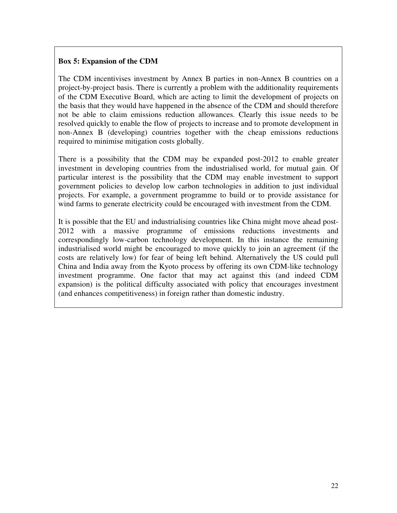#### **Box 5: Expansion of the CDM**

The CDM incentivises investment by Annex B parties in non-Annex B countries on a project-by-project basis. There is currently a problem with the additionality requirements of the CDM Executive Board, which are acting to limit the development of projects on the basis that they would have happened in the absence of the CDM and should therefore not be able to claim emissions reduction allowances. Clearly this issue needs to be resolved quickly to enable the flow of projects to increase and to promote development in non-Annex B (developing) countries together with the cheap emissions reductions required to minimise mitigation costs globally.

There is a possibility that the CDM may be expanded post-2012 to enable greater investment in developing countries from the industrialised world, for mutual gain. Of particular interest is the possibility that the CDM may enable investment to support government policies to develop low carbon technologies in addition to just individual projects. For example, a government programme to build or to provide assistance for wind farms to generate electricity could be encouraged with investment from the CDM.

It is possible that the EU and industrialising countries like China might move ahead post-2012 with a massive programme of emissions reductions investments and correspondingly low-carbon technology development. In this instance the remaining industrialised world might be encouraged to move quickly to join an agreement (if the costs are relatively low) for fear of being left behind. Alternatively the US could pull China and India away from the Kyoto process by offering its own CDM-like technology investment programme. One factor that may act against this (and indeed CDM expansion) is the political difficulty associated with policy that encourages investment (and enhances competitiveness) in foreign rather than domestic industry.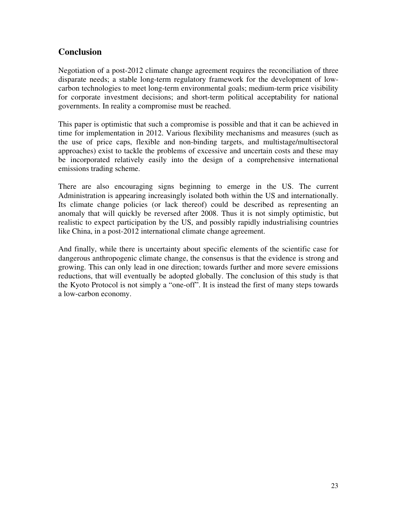## **Conclusion**

Negotiation of a post-2012 climate change agreement requires the reconciliation of three disparate needs; a stable long-term regulatory framework for the development of lowcarbon technologies to meet long-term environmental goals; medium-term price visibility for corporate investment decisions; and short-term political acceptability for national governments. In reality a compromise must be reached.

This paper is optimistic that such a compromise is possible and that it can be achieved in time for implementation in 2012. Various flexibility mechanisms and measures (such as the use of price caps, flexible and non-binding targets, and multistage/multisectoral approaches) exist to tackle the problems of excessive and uncertain costs and these may be incorporated relatively easily into the design of a comprehensive international emissions trading scheme.

There are also encouraging signs beginning to emerge in the US. The current Administration is appearing increasingly isolated both within the US and internationally. Its climate change policies (or lack thereof) could be described as representing an anomaly that will quickly be reversed after 2008. Thus it is not simply optimistic, but realistic to expect participation by the US, and possibly rapidly industrialising countries like China, in a post-2012 international climate change agreement.

And finally, while there is uncertainty about specific elements of the scientific case for dangerous anthropogenic climate change, the consensus is that the evidence is strong and growing. This can only lead in one direction; towards further and more severe emissions reductions, that will eventually be adopted globally. The conclusion of this study is that the Kyoto Protocol is not simply a "one-off". It is instead the first of many steps towards a low-carbon economy.